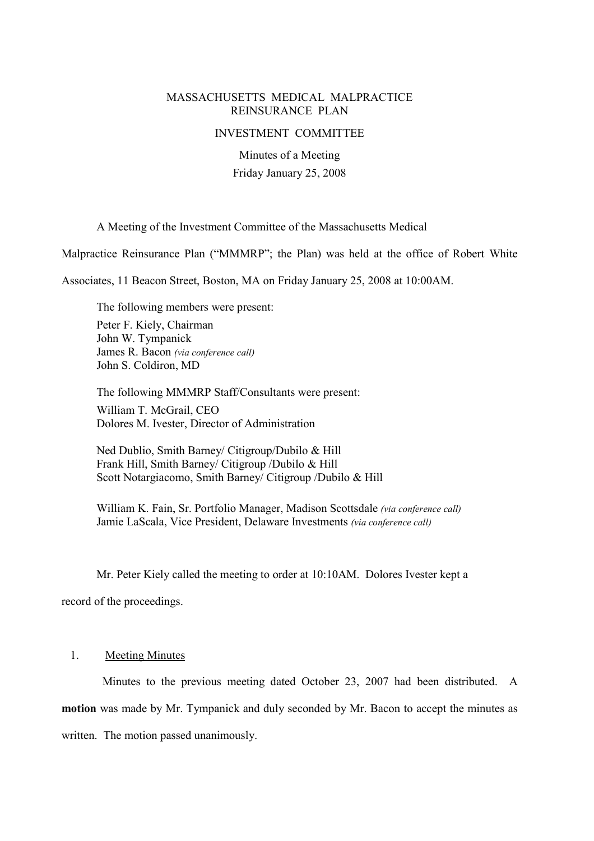## MASSACHUSETTS MEDICAL MALPRACTICE REINSURANCE PLAN

#### INVESTMENT COMMITTEE

Minutes of a Meeting Friday January 25, 2008

## A Meeting of the Investment Committee of the Massachusetts Medical

Malpractice Reinsurance Plan ("MMMRP"; the Plan) was held at the office of Robert White

Associates, 11 Beacon Street, Boston, MA on Friday January 25, 2008 at 10:00AM.

The following members were present: Peter F. Kiely, Chairman John W. Tympanick James R. Bacon (via conference call) John S. Coldiron, MD

The following MMMRP Staff/Consultants were present: William T. McGrail, CEO Dolores M. Ivester, Director of Administration

Ned Dublio, Smith Barney/ Citigroup/Dubilo & Hill Frank Hill, Smith Barney/ Citigroup /Dubilo & Hill Scott Notargiacomo, Smith Barney/ Citigroup /Dubilo & Hill

William K. Fain, Sr. Portfolio Manager, Madison Scottsdale (via conference call) Jamie LaScala, Vice President, Delaware Investments (via conference call)

Mr. Peter Kiely called the meeting to order at 10:10AM. Dolores Ivester kept a

record of the proceedings.

# 1. Meeting Minutes

Minutes to the previous meeting dated October 23, 2007 had been distributed. A **motion** was made by Mr. Tympanick and duly seconded by Mr. Bacon to accept the minutes as written. The motion passed unanimously.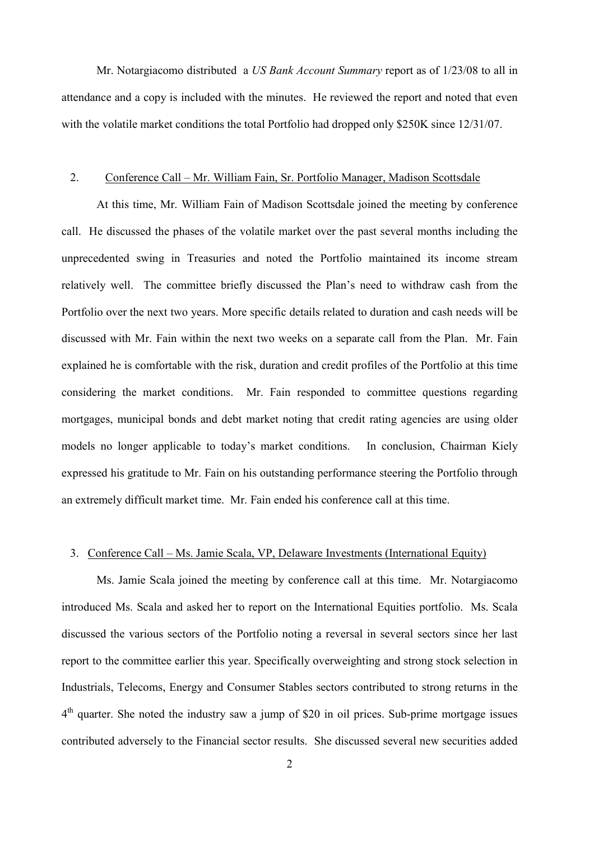Mr. Notargiacomo distributed a *US Bank Account Summary* report as of  $1/23/08$  to all in attendance and a copy is included with the minutes. He reviewed the report and noted that even with the volatile market conditions the total Portfolio had dropped only \$250K since 12/31/07.

#### 2. Conference Call – Mr. William Fain, Sr. Portfolio Manager, Madison Scottsdale

At this time, Mr. William Fain of Madison Scottsdale joined the meeting by conference call. He discussed the phases of the volatile market over the past several months including the unprecedented swing in Treasuries and noted the Portfolio maintained its income stream relatively well. The committee briefly discussed the Plan's need to withdraw cash from the Portfolio over the next two years. More specific details related to duration and cash needs will be discussed with Mr. Fain within the next two weeks on a separate call from the Plan. Mr. Fain explained he is comfortable with the risk, duration and credit profiles of the Portfolio at this time considering the market conditions. Mr. Fain responded to committee questions regarding mortgages, municipal bonds and debt market noting that credit rating agencies are using older models no longer applicable to today's market conditions. In conclusion, Chairman Kiely expressed his gratitude to Mr. Fain on his outstanding performance steering the Portfolio through an extremely difficult market time. Mr. Fain ended his conference call at this time.

## 3. Conference Call – Ms. Jamie Scala, VP, Delaware Investments (International Equity)

Ms. Jamie Scala joined the meeting by conference call at this time. Mr. Notargiacomo introduced Ms. Scala and asked her to report on the International Equities portfolio. Ms. Scala discussed the various sectors of the Portfolio noting a reversal in several sectors since her last report to the committee earlier this year. Specifically overweighting and strong stock selection in Industrials, Telecoms, Energy and Consumer Stables sectors contributed to strong returns in the  $4<sup>th</sup>$  quarter. She noted the industry saw a jump of \$20 in oil prices. Sub-prime mortgage issues contributed adversely to the Financial sector results. She discussed several new securities added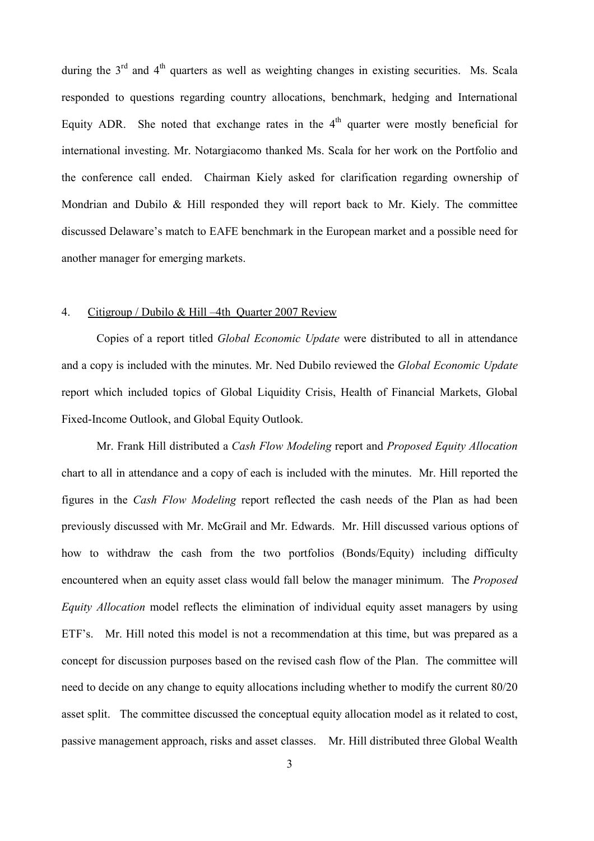during the  $3<sup>rd</sup>$  and  $4<sup>th</sup>$  quarters as well as weighting changes in existing securities. Ms. Scala responded to questions regarding country allocations, benchmark, hedging and International Equity ADR. She noted that exchange rates in the  $4<sup>th</sup>$  quarter were mostly beneficial for international investing. Mr. Notargiacomo thanked Ms. Scala for her work on the Portfolio and the conference call ended. Chairman Kiely asked for clarification regarding ownership of Mondrian and Dubilo & Hill responded they will report back to Mr. Kiely. The committee discussed Delaware's match to EAFE benchmark in the European market and a possible need for another manager for emerging markets.

## 4. Citigroup / Dubilo & Hill  $-4$ th Quarter 2007 Review

Copies of a report titled Global Economic Update were distributed to all in attendance and a copy is included with the minutes. Mr. Ned Dubilo reviewed the Global Economic Update report which included topics of Global Liquidity Crisis, Health of Financial Markets, Global Fixed-Income Outlook, and Global Equity Outlook.

Mr. Frank Hill distributed a Cash Flow Modeling report and Proposed Equity Allocation chart to all in attendance and a copy of each is included with the minutes. Mr. Hill reported the figures in the Cash Flow Modeling report reflected the cash needs of the Plan as had been previously discussed with Mr. McGrail and Mr. Edwards. Mr. Hill discussed various options of how to withdraw the cash from the two portfolios (Bonds/Equity) including difficulty encountered when an equity asset class would fall below the manager minimum. The Proposed Equity Allocation model reflects the elimination of individual equity asset managers by using ETF's. Mr. Hill noted this model is not a recommendation at this time, but was prepared as a concept for discussion purposes based on the revised cash flow of the Plan. The committee will need to decide on any change to equity allocations including whether to modify the current 80/20 asset split. The committee discussed the conceptual equity allocation model as it related to cost, passive management approach, risks and asset classes. Mr. Hill distributed three Global Wealth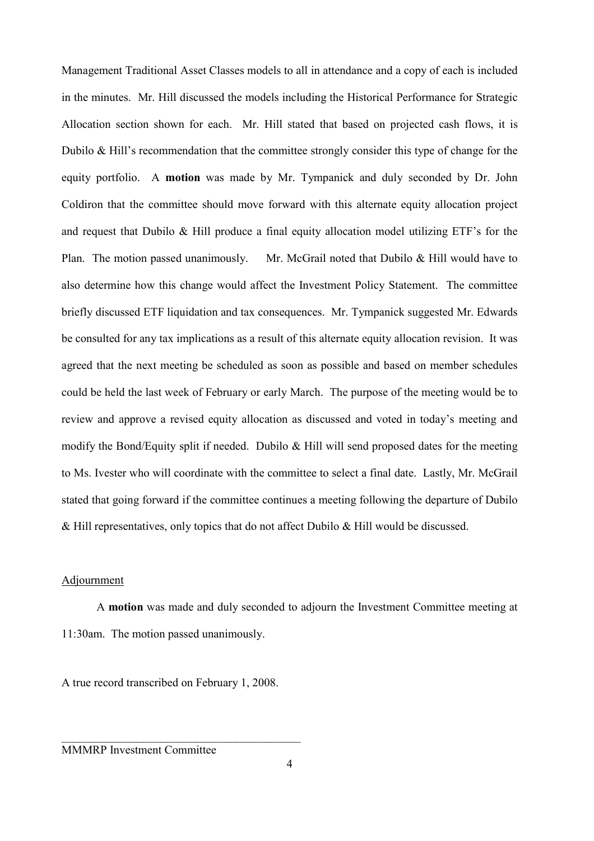Management Traditional Asset Classes models to all in attendance and a copy of each is included in the minutes. Mr. Hill discussed the models including the Historical Performance for Strategic Allocation section shown for each. Mr. Hill stated that based on projected cash flows, it is Dubilo  $& Hill's recommendation that the committee strongly consider this type of change for the$ equity portfolio. A **motion** was made by Mr. Tympanick and duly seconded by Dr. John Coldiron that the committee should move forward with this alternate equity allocation project and request that Dubilo  $\&$  Hill produce a final equity allocation model utilizing ETF's for the Plan. The motion passed unanimously. Mr. McGrail noted that Dubilo & Hill would have to also determine how this change would affect the Investment Policy Statement. The committee briefly discussed ETF liquidation and tax consequences. Mr. Tympanick suggested Mr. Edwards be consulted for any tax implications as a result of this alternate equity allocation revision. It was agreed that the next meeting be scheduled as soon as possible and based on member schedules could be held the last week of February or early March. The purpose of the meeting would be to review and approve a revised equity allocation as discussed and voted in today's meeting and modify the Bond/Equity split if needed. Dubilo & Hill will send proposed dates for the meeting to Ms. Ivester who will coordinate with the committee to select a final date. Lastly, Mr. McGrail stated that going forward if the committee continues a meeting following the departure of Dubilo & Hill representatives, only topics that do not affect Dubilo & Hill would be discussed.

## Adjournment

A **motion** was made and duly seconded to adjourn the Investment Committee meeting at 11:30am. The motion passed unanimously.

A true record transcribed on February 1, 2008.

 $\mathcal{L}_\text{max}$  and  $\mathcal{L}_\text{max}$  and  $\mathcal{L}_\text{max}$  and  $\mathcal{L}_\text{max}$  and  $\mathcal{L}_\text{max}$